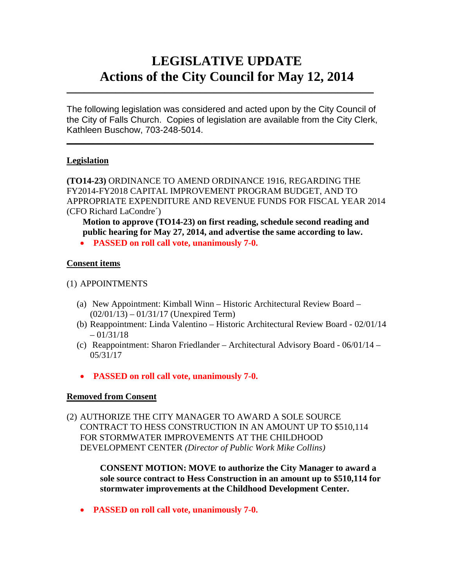# **LEGISLATIVE UPDATE Actions of the City Council for May 12, 2014**

The following legislation was considered and acted upon by the City Council of the City of Falls Church. Copies of legislation are available from the City Clerk, Kathleen Buschow, 703-248-5014.

 $\mathcal{L}_\text{max}$  and  $\mathcal{L}_\text{max}$  and  $\mathcal{L}_\text{max}$  and  $\mathcal{L}_\text{max}$  and  $\mathcal{L}_\text{max}$  and  $\mathcal{L}_\text{max}$ 

 $\mathcal{L}_\text{max}$  and  $\mathcal{L}_\text{max}$  and  $\mathcal{L}_\text{max}$  and  $\mathcal{L}_\text{max}$  and  $\mathcal{L}_\text{max}$  and  $\mathcal{L}_\text{max}$ 

#### **Legislation**

**(TO14-23)** ORDINANCE TO AMEND ORDINANCE 1916, REGARDING THE FY2014-FY2018 CAPITAL IMPROVEMENT PROGRAM BUDGET, AND TO APPROPRIATE EXPENDITURE AND REVENUE FUNDS FOR FISCAL YEAR 2014 (CFO Richard LaCondre´)

**Motion to approve (TO14-23) on first reading, schedule second reading and public hearing for May 27, 2014, and advertise the same according to law.**

• **PASSED on roll call vote, unanimously 7-0.**

## **Consent items**

### (1) APPOINTMENTS

- (a) New Appointment: Kimball Winn Historic Architectural Review Board (02/01/13) – 01/31/17 (Unexpired Term)
- (b) Reappointment: Linda Valentino Historic Architectural Review Board 02/01/14  $-01/31/18$
- (c) Reappointment: Sharon Friedlander Architectural Advisory Board 06/01/14 05/31/17
- **PASSED on roll call vote, unanimously 7-0.**

#### **Removed from Consent**

(2) AUTHORIZE THE CITY MANAGER TO AWARD A SOLE SOURCE CONTRACT TO HESS CONSTRUCTION IN AN AMOUNT UP TO \$510,114 FOR STORMWATER IMPROVEMENTS AT THE CHILDHOOD DEVELOPMENT CENTER *(Director of Public Work Mike Collins)*

> **CONSENT MOTION: MOVE to authorize the City Manager to award a sole source contract to Hess Construction in an amount up to \$510,114 for stormwater improvements at the Childhood Development Center.**

• **PASSED on roll call vote, unanimously 7-0.**